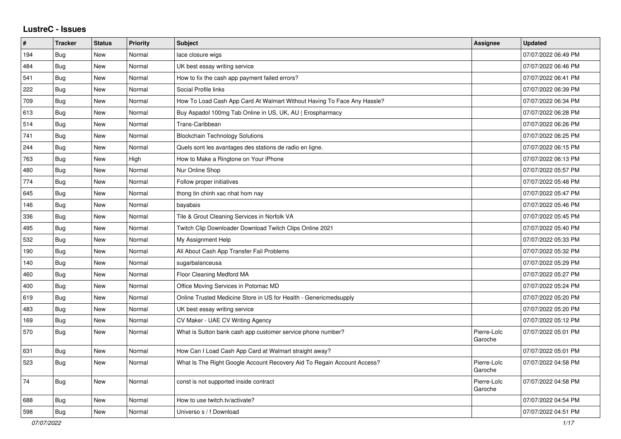## **LustreC - Issues**

| #   | <b>Tracker</b> | <b>Status</b> | <b>Priority</b> | <b>Subject</b>                                                          | Assignee               | <b>Updated</b>      |
|-----|----------------|---------------|-----------------|-------------------------------------------------------------------------|------------------------|---------------------|
| 194 | Bug            | New           | Normal          | lace closure wigs                                                       |                        | 07/07/2022 06:49 PM |
| 484 | Bug            | <b>New</b>    | Normal          | UK best essay writing service                                           |                        | 07/07/2022 06:46 PM |
| 541 | Bug            | <b>New</b>    | Normal          | How to fix the cash app payment failed errors?                          |                        | 07/07/2022 06:41 PM |
| 222 | Bug            | <b>New</b>    | Normal          | Social Profile links                                                    |                        | 07/07/2022 06:39 PM |
| 709 | Bug            | <b>New</b>    | Normal          | How To Load Cash App Card At Walmart Without Having To Face Any Hassle? |                        | 07/07/2022 06:34 PM |
| 613 | Bug            | New           | Normal          | Buy Aspadol 100mg Tab Online in US, UK, AU   Erospharmacy               |                        | 07/07/2022 06:28 PM |
| 514 | Bug            | New           | Normal          | Trans-Caribbean                                                         |                        | 07/07/2022 06:26 PM |
| 741 | Bug            | <b>New</b>    | Normal          | <b>Blockchain Technology Solutions</b>                                  |                        | 07/07/2022 06:25 PM |
| 244 | Bug            | <b>New</b>    | Normal          | Quels sont les avantages des stations de radio en ligne.                |                        | 07/07/2022 06:15 PM |
| 763 | Bug            | New           | High            | How to Make a Ringtone on Your iPhone                                   |                        | 07/07/2022 06:13 PM |
| 480 | Bug            | <b>New</b>    | Normal          | Nur Online Shop                                                         |                        | 07/07/2022 05:57 PM |
| 774 | <b>Bug</b>     | <b>New</b>    | Normal          | Follow proper initiatives                                               |                        | 07/07/2022 05:48 PM |
| 645 | Bug            | <b>New</b>    | Normal          | thong tin chinh xac nhat hom nay                                        |                        | 07/07/2022 05:47 PM |
| 146 | Bug            | New           | Normal          | bayabais                                                                |                        | 07/07/2022 05:46 PM |
| 336 | Bug            | <b>New</b>    | Normal          | Tile & Grout Cleaning Services in Norfolk VA                            |                        | 07/07/2022 05:45 PM |
| 495 | <b>Bug</b>     | <b>New</b>    | Normal          | Twitch Clip Downloader Download Twitch Clips Online 2021                |                        | 07/07/2022 05:40 PM |
| 532 | Bug            | <b>New</b>    | Normal          | My Assignment Help                                                      |                        | 07/07/2022 05:33 PM |
| 190 | Bug            | <b>New</b>    | Normal          | All About Cash App Transfer Fail Problems                               |                        | 07/07/2022 05:32 PM |
| 140 | Bug            | <b>New</b>    | Normal          | sugarbalanceusa                                                         |                        | 07/07/2022 05:29 PM |
| 460 | <b>Bug</b>     | <b>New</b>    | Normal          | Floor Cleaning Medford MA                                               |                        | 07/07/2022 05:27 PM |
| 400 | Bug            | <b>New</b>    | Normal          | Office Moving Services in Potomac MD                                    |                        | 07/07/2022 05:24 PM |
| 619 | Bug            | New           | Normal          | Online Trusted Medicine Store in US for Health - Genericmedsupply       |                        | 07/07/2022 05:20 PM |
| 483 | Bug            | <b>New</b>    | Normal          | UK best essay writing service                                           |                        | 07/07/2022 05:20 PM |
| 169 | Bug            | <b>New</b>    | Normal          | CV Maker - UAE CV Writing Agency                                        |                        | 07/07/2022 05:12 PM |
| 570 | Bug            | <b>New</b>    | Normal          | What is Sutton bank cash app customer service phone number?             | Pierre-Loïc<br>Garoche | 07/07/2022 05:01 PM |
| 631 | Bug            | <b>New</b>    | Normal          | How Can I Load Cash App Card at Walmart straight away?                  |                        | 07/07/2022 05:01 PM |
| 523 | Bug            | New           | Normal          | What Is The Right Google Account Recovery Aid To Regain Account Access? | Pierre-Loïc<br>Garoche | 07/07/2022 04:58 PM |
| 74  | Bug            | <b>New</b>    | Normal          | const is not supported inside contract                                  | Pierre-Loïc<br>Garoche | 07/07/2022 04:58 PM |
| 688 | Bug            | <b>New</b>    | Normal          | How to use twitch.tv/activate?                                          |                        | 07/07/2022 04:54 PM |
| 598 | Bug            | <b>New</b>    | Normal          | Universo s / f Download                                                 |                        | 07/07/2022 04:51 PM |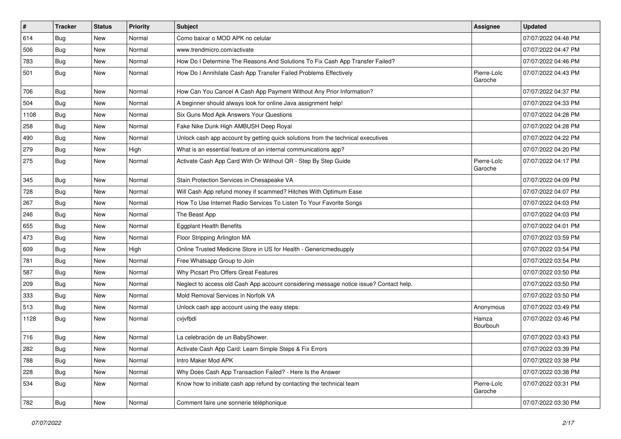| $\vert$ # | <b>Tracker</b> | <b>Status</b> | <b>Priority</b> | Subject                                                                                | <b>Assignee</b>        | <b>Updated</b>      |
|-----------|----------------|---------------|-----------------|----------------------------------------------------------------------------------------|------------------------|---------------------|
| 614       | Bug            | New           | Normal          | Como baixar o MOD APK no celular                                                       |                        | 07/07/2022 04:48 PM |
| 506       | <b>Bug</b>     | New           | Normal          | www.trendmicro.com/activate                                                            |                        | 07/07/2022 04:47 PM |
| 783       | <b>Bug</b>     | New           | Normal          | How Do I Determine The Reasons And Solutions To Fix Cash App Transfer Failed?          |                        | 07/07/2022 04:46 PM |
| 501       | Bug            | New           | Normal          | How Do I Annihilate Cash App Transfer Failed Problems Effectively                      | Pierre-Loïc<br>Garoche | 07/07/2022 04:43 PM |
| 706       | <b>Bug</b>     | New           | Normal          | How Can You Cancel A Cash App Payment Without Any Prior Information?                   |                        | 07/07/2022 04:37 PM |
| 504       | Bug            | New           | Normal          | A beginner should always look for online Java assignment help!                         |                        | 07/07/2022 04:33 PM |
| 1108      | Bug            | New           | Normal          | Six Guns Mod Apk Answers Your Questions                                                |                        | 07/07/2022 04:28 PM |
| 258       | <b>Bug</b>     | New           | Normal          | Fake Nike Dunk High AMBUSH Deep Royal                                                  |                        | 07/07/2022 04:28 PM |
| 490       | Bug            | New           | Normal          | Unlock cash app account by getting quick solutions from the technical executives       |                        | 07/07/2022 04:22 PM |
| 279       | <b>Bug</b>     | New           | High            | What is an essential feature of an internal communications app?                        |                        | 07/07/2022 04:20 PM |
| 275       | Bug            | New           | Normal          | Activate Cash App Card With Or Without QR - Step By Step Guide                         | Pierre-Loïc<br>Garoche | 07/07/2022 04:17 PM |
| 345       | <b>Bug</b>     | New           | Normal          | Stain Protection Services in Chesapeake VA                                             |                        | 07/07/2022 04:09 PM |
| 728       | <b>Bug</b>     | New           | Normal          | Will Cash App refund money if scammed? Hitches With Optimum Ease                       |                        | 07/07/2022 04:07 PM |
| 267       | Bug            | New           | Normal          | How To Use Internet Radio Services To Listen To Your Favorite Songs                    |                        | 07/07/2022 04:03 PM |
| 246       | <b>Bug</b>     | New           | Normal          | The Beast App                                                                          |                        | 07/07/2022 04:03 PM |
| 655       | Bug            | New           | Normal          | <b>Eggplant Health Benefits</b>                                                        |                        | 07/07/2022 04:01 PM |
| 473       | <b>Bug</b>     | New           | Normal          | Floor Stripping Arlington MA                                                           |                        | 07/07/2022 03:59 PM |
| 609       | Bug            | New           | High            | Online Trusted Medicine Store in US for Health - Genericmedsupply                      |                        | 07/07/2022 03:54 PM |
| 781       | <b>Bug</b>     | New           | Normal          | Free Whatsapp Group to Join                                                            |                        | 07/07/2022 03:54 PM |
| 587       | Bug            | New           | Normal          | Why Picsart Pro Offers Great Features                                                  |                        | 07/07/2022 03:50 PM |
| 209       | Bug            | New           | Normal          | Neglect to access old Cash App account considering message notice issue? Contact help. |                        | 07/07/2022 03:50 PM |
| 333       | <b>Bug</b>     | New           | Normal          | Mold Removal Services in Norfolk VA                                                    |                        | 07/07/2022 03:50 PM |
| 513       | Bug            | New           | Normal          | Unlock cash app account using the easy steps:                                          | Anonymous              | 07/07/2022 03:49 PM |
| 1128      | <b>Bug</b>     | New           | Normal          | cvjvfbdi                                                                               | Hamza<br>Bourbouh      | 07/07/2022 03:46 PM |
| 716       | <b>Bug</b>     | New           | Normal          | La celebración de un BabyShower.                                                       |                        | 07/07/2022 03:43 PM |
| 282       | Bug            | New           | Normal          | Activate Cash App Card: Learn Simple Steps & Fix Errors                                |                        | 07/07/2022 03:39 PM |
| 788       | <b>Bug</b>     | New           | Normal          | Intro Maker Mod APK                                                                    |                        | 07/07/2022 03:38 PM |
| 228       | Bug            | New           | Normal          | Why Does Cash App Transaction Failed? - Here Is the Answer                             |                        | 07/07/2022 03:38 PM |
| 534       | Bug            | New           | Normal          | Know how to initiate cash app refund by contacting the technical team                  | Pierre-Loïc<br>Garoche | 07/07/2022 03:31 PM |
| 782       | <b>Bug</b>     | New           | Normal          | Comment faire une sonnerie téléphonique                                                |                        | 07/07/2022 03:30 PM |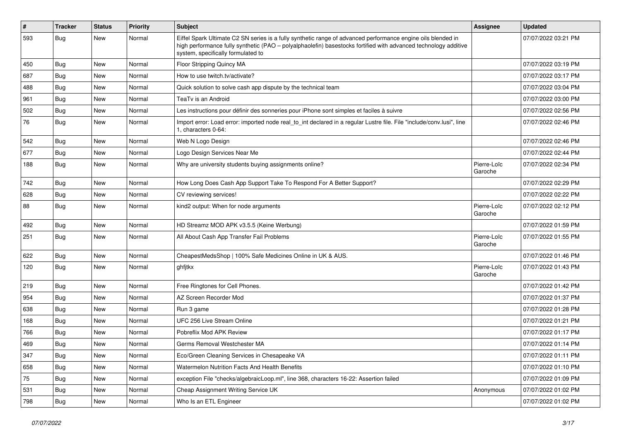| $\vert$ # | <b>Tracker</b> | <b>Status</b> | Priority | <b>Subject</b>                                                                                                                                                                                                                                                        | Assignee               | <b>Updated</b>      |
|-----------|----------------|---------------|----------|-----------------------------------------------------------------------------------------------------------------------------------------------------------------------------------------------------------------------------------------------------------------------|------------------------|---------------------|
| 593       | <b>Bug</b>     | New           | Normal   | Eiffel Spark Ultimate C2 SN series is a fully synthetic range of advanced performance engine oils blended in<br>high performance fully synthetic (PAO – polyalphaolefin) basestocks fortified with advanced technology additive<br>system, specifically formulated to |                        | 07/07/2022 03:21 PM |
| 450       | Bug            | New           | Normal   | Floor Stripping Quincy MA                                                                                                                                                                                                                                             |                        | 07/07/2022 03:19 PM |
| 687       | Bug            | New           | Normal   | How to use twitch.tv/activate?                                                                                                                                                                                                                                        |                        | 07/07/2022 03:17 PM |
| 488       | Bug            | New           | Normal   | Quick solution to solve cash app dispute by the technical team                                                                                                                                                                                                        |                        | 07/07/2022 03:04 PM |
| 961       | Bug            | New           | Normal   | TeaTv is an Android                                                                                                                                                                                                                                                   |                        | 07/07/2022 03:00 PM |
| 502       | Bug            | <b>New</b>    | Normal   | Les instructions pour définir des sonneries pour iPhone sont simples et faciles à suivre                                                                                                                                                                              |                        | 07/07/2022 02:56 PM |
| 76        | <b>Bug</b>     | New           | Normal   | Import error: Load error: imported node real to int declared in a regular Lustre file. File "include/conv.lusi", line<br>1, characters 0-64:                                                                                                                          |                        | 07/07/2022 02:46 PM |
| 542       | Bug            | New           | Normal   | Web N Logo Design                                                                                                                                                                                                                                                     |                        | 07/07/2022 02:46 PM |
| 677       | Bug            | New           | Normal   | Logo Design Services Near Me                                                                                                                                                                                                                                          |                        | 07/07/2022 02:44 PM |
| 188       | Bug            | New           | Normal   | Why are university students buying assignments online?                                                                                                                                                                                                                | Pierre-Loïc<br>Garoche | 07/07/2022 02:34 PM |
| 742       | Bug            | New           | Normal   | How Long Does Cash App Support Take To Respond For A Better Support?                                                                                                                                                                                                  |                        | 07/07/2022 02:29 PM |
| 628       | Bug            | New           | Normal   | CV reviewing services!                                                                                                                                                                                                                                                |                        | 07/07/2022 02:22 PM |
| 88        | <b>Bug</b>     | New           | Normal   | kind2 output: When for node arguments                                                                                                                                                                                                                                 | Pierre-Loïc<br>Garoche | 07/07/2022 02:12 PM |
| 492       | Bug            | <b>New</b>    | Normal   | HD Streamz MOD APK v3.5.5 (Keine Werbung)                                                                                                                                                                                                                             |                        | 07/07/2022 01:59 PM |
| 251       | Bug            | New           | Normal   | All About Cash App Transfer Fail Problems                                                                                                                                                                                                                             | Pierre-Loïc<br>Garoche | 07/07/2022 01:55 PM |
| 622       | Bug            | New           | Normal   | CheapestMedsShop   100% Safe Medicines Online in UK & AUS.                                                                                                                                                                                                            |                        | 07/07/2022 01:46 PM |
| 120       | <b>Bug</b>     | New           | Normal   | ghfjtkx                                                                                                                                                                                                                                                               | Pierre-Loïc<br>Garoche | 07/07/2022 01:43 PM |
| 219       | Bug            | New           | Normal   | Free Ringtones for Cell Phones.                                                                                                                                                                                                                                       |                        | 07/07/2022 01:42 PM |
| 954       | Bug            | New           | Normal   | AZ Screen Recorder Mod                                                                                                                                                                                                                                                |                        | 07/07/2022 01:37 PM |
| 638       | Bug            | <b>New</b>    | Normal   | Run 3 game                                                                                                                                                                                                                                                            |                        | 07/07/2022 01:28 PM |
| 168       | Bug            | New           | Normal   | UFC 256 Live Stream Online                                                                                                                                                                                                                                            |                        | 07/07/2022 01:21 PM |
| 766       | Bug            | <b>New</b>    | Normal   | Pobreflix Mod APK Review                                                                                                                                                                                                                                              |                        | 07/07/2022 01:17 PM |
| 469       | <b>Bug</b>     | New           | Normal   | Germs Removal Westchester MA                                                                                                                                                                                                                                          |                        | 07/07/2022 01:14 PM |
| 347       | <b>Bug</b>     | New           | Normal   | Eco/Green Cleaning Services in Chesapeake VA                                                                                                                                                                                                                          |                        | 07/07/2022 01:11 PM |
| 658       | Bug            | New           | Normal   | Watermelon Nutrition Facts And Health Benefits                                                                                                                                                                                                                        |                        | 07/07/2022 01:10 PM |
| 75        | <b>Bug</b>     | New           | Normal   | exception File "checks/algebraicLoop.ml", line 368, characters 16-22: Assertion failed                                                                                                                                                                                |                        | 07/07/2022 01:09 PM |
| 531       | Bug            | New           | Normal   | Cheap Assignment Writing Service UK                                                                                                                                                                                                                                   | Anonymous              | 07/07/2022 01:02 PM |
| 798       | <b>Bug</b>     | New           | Normal   | Who Is an ETL Engineer                                                                                                                                                                                                                                                |                        | 07/07/2022 01:02 PM |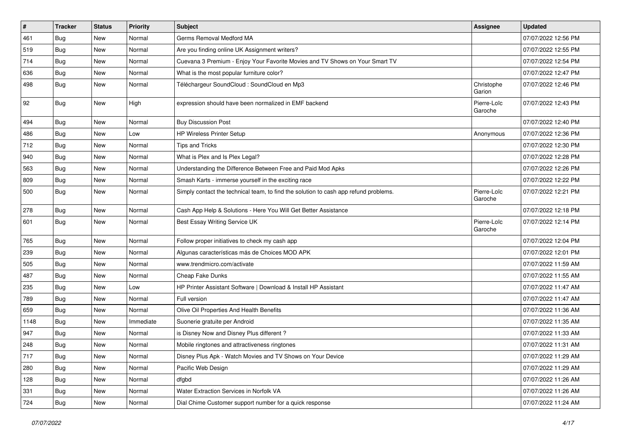| #    | <b>Tracker</b> | <b>Status</b> | <b>Priority</b> | Subject                                                                              | Assignee               | <b>Updated</b>      |
|------|----------------|---------------|-----------------|--------------------------------------------------------------------------------------|------------------------|---------------------|
| 461  | <b>Bug</b>     | New           | Normal          | Germs Removal Medford MA                                                             |                        | 07/07/2022 12:56 PM |
| 519  | Bug            | New           | Normal          | Are you finding online UK Assignment writers?                                        |                        | 07/07/2022 12:55 PM |
| 714  | Bug            | New           | Normal          | Cuevana 3 Premium - Enjoy Your Favorite Movies and TV Shows on Your Smart TV         |                        | 07/07/2022 12:54 PM |
| 636  | <b>Bug</b>     | New           | Normal          | What is the most popular furniture color?                                            |                        | 07/07/2022 12:47 PM |
| 498  | Bug            | New           | Normal          | Téléchargeur SoundCloud : SoundCloud en Mp3                                          | Christophe<br>Garion   | 07/07/2022 12:46 PM |
| 92   | Bug            | New           | High            | expression should have been normalized in EMF backend                                | Pierre-Loïc<br>Garoche | 07/07/2022 12:43 PM |
| 494  | Bug            | New           | Normal          | <b>Buy Discussion Post</b>                                                           |                        | 07/07/2022 12:40 PM |
| 486  | Bug            | New           | Low             | HP Wireless Printer Setup                                                            | Anonymous              | 07/07/2022 12:36 PM |
| 712  | Bug            | New           | Normal          | Tips and Tricks                                                                      |                        | 07/07/2022 12:30 PM |
| 940  | <b>Bug</b>     | New           | Normal          | What is Plex and Is Plex Legal?                                                      |                        | 07/07/2022 12:28 PM |
| 563  | Bug            | New           | Normal          | Understanding the Difference Between Free and Paid Mod Apks                          |                        | 07/07/2022 12:26 PM |
| 809  | Bug            | New           | Normal          | Smash Karts - immerse yourself in the exciting race                                  |                        | 07/07/2022 12:22 PM |
| 500  | Bug            | New           | Normal          | Simply contact the technical team, to find the solution to cash app refund problems. | Pierre-Loïc<br>Garoche | 07/07/2022 12:21 PM |
| 278  | Bug            | New           | Normal          | Cash App Help & Solutions - Here You Will Get Better Assistance                      |                        | 07/07/2022 12:18 PM |
| 601  | Bug            | New           | Normal          | Best Essay Writing Service UK                                                        | Pierre-Loïc<br>Garoche | 07/07/2022 12:14 PM |
| 765  | Bug            | <b>New</b>    | Normal          | Follow proper initiatives to check my cash app                                       |                        | 07/07/2022 12:04 PM |
| 239  | Bug            | New           | Normal          | Algunas características más de Choices MOD APK                                       |                        | 07/07/2022 12:01 PM |
| 505  | <b>Bug</b>     | New           | Normal          | www.trendmicro.com/activate                                                          |                        | 07/07/2022 11:59 AM |
| 487  | Bug            | New           | Normal          | Cheap Fake Dunks                                                                     |                        | 07/07/2022 11:55 AM |
| 235  | Bug            | New           | Low             | HP Printer Assistant Software   Download & Install HP Assistant                      |                        | 07/07/2022 11:47 AM |
| 789  | Bug            | New           | Normal          | Full version                                                                         |                        | 07/07/2022 11:47 AM |
| 659  | Bug            | New           | Normal          | Olive Oil Properties And Health Benefits                                             |                        | 07/07/2022 11:36 AM |
| 1148 | <b>Bug</b>     | New           | Immediate       | Suonerie gratuite per Android                                                        |                        | 07/07/2022 11:35 AM |
| 947  | <b>Bug</b>     | New           | Normal          | is Disney Now and Disney Plus different?                                             |                        | 07/07/2022 11:33 AM |
| 248  | <b>Bug</b>     | New           | Normal          | Mobile ringtones and attractiveness ringtones                                        |                        | 07/07/2022 11:31 AM |
| 717  | Bug            | New           | Normal          | Disney Plus Apk - Watch Movies and TV Shows on Your Device                           |                        | 07/07/2022 11:29 AM |
| 280  | Bug            | New           | Normal          | Pacific Web Design                                                                   |                        | 07/07/2022 11:29 AM |
| 128  | Bug            | New           | Normal          | dfgbd                                                                                |                        | 07/07/2022 11:26 AM |
| 331  | <b>Bug</b>     | New           | Normal          | Water Extraction Services in Norfolk VA                                              |                        | 07/07/2022 11:26 AM |
| 724  | Bug            | New           | Normal          | Dial Chime Customer support number for a quick response                              |                        | 07/07/2022 11:24 AM |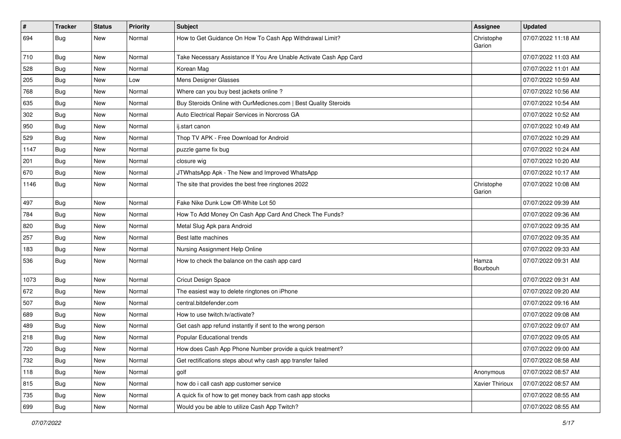| $\vert$ # | <b>Tracker</b> | <b>Status</b> | Priority | <b>Subject</b>                                                     | <b>Assignee</b>      | <b>Updated</b>      |
|-----------|----------------|---------------|----------|--------------------------------------------------------------------|----------------------|---------------------|
| 694       | <b>Bug</b>     | New           | Normal   | How to Get Guidance On How To Cash App Withdrawal Limit?           | Christophe<br>Garion | 07/07/2022 11:18 AM |
| 710       | Bug            | New           | Normal   | Take Necessary Assistance If You Are Unable Activate Cash App Card |                      | 07/07/2022 11:03 AM |
| 528       | Bug            | New           | Normal   | Korean Mag                                                         |                      | 07/07/2022 11:01 AM |
| 205       | Bug            | New           | Low      | Mens Designer Glasses                                              |                      | 07/07/2022 10:59 AM |
| 768       | <b>Bug</b>     | New           | Normal   | Where can you buy best jackets online?                             |                      | 07/07/2022 10:56 AM |
| 635       | Bug            | New           | Normal   | Buy Steroids Online with OurMedicnes.com   Best Quality Steroids   |                      | 07/07/2022 10:54 AM |
| 302       | Bug            | New           | Normal   | Auto Electrical Repair Services in Norcross GA                     |                      | 07/07/2022 10:52 AM |
| 950       | Bug            | New           | Normal   | ij.start canon                                                     |                      | 07/07/2022 10:49 AM |
| 529       | <b>Bug</b>     | New           | Normal   | Thop TV APK - Free Download for Android                            |                      | 07/07/2022 10:29 AM |
| 1147      | Bug            | New           | Normal   | puzzle game fix bug                                                |                      | 07/07/2022 10:24 AM |
| 201       | <b>Bug</b>     | New           | Normal   | closure wig                                                        |                      | 07/07/2022 10:20 AM |
| 670       | Bug            | New           | Normal   | JTWhatsApp Apk - The New and Improved WhatsApp                     |                      | 07/07/2022 10:17 AM |
| 1146      | Bug            | New           | Normal   | The site that provides the best free ringtones 2022                | Christophe<br>Garion | 07/07/2022 10:08 AM |
| 497       | Bug            | New           | Normal   | Fake Nike Dunk Low Off-White Lot 50                                |                      | 07/07/2022 09:39 AM |
| 784       | Bug            | New           | Normal   | How To Add Money On Cash App Card And Check The Funds?             |                      | 07/07/2022 09:36 AM |
| 820       | Bug            | New           | Normal   | Metal Slug Apk para Android                                        |                      | 07/07/2022 09:35 AM |
| 257       | <b>Bug</b>     | New           | Normal   | Best latte machines                                                |                      | 07/07/2022 09:35 AM |
| 183       | <b>Bug</b>     | New           | Normal   | Nursing Assignment Help Online                                     |                      | 07/07/2022 09:33 AM |
| 536       | <b>Bug</b>     | New           | Normal   | How to check the balance on the cash app card                      | Hamza<br>Bourbouh    | 07/07/2022 09:31 AM |
| 1073      | Bug            | New           | Normal   | <b>Cricut Design Space</b>                                         |                      | 07/07/2022 09:31 AM |
| 672       | Bug            | New           | Normal   | The easiest way to delete ringtones on iPhone                      |                      | 07/07/2022 09:20 AM |
| 507       | <b>Bug</b>     | New           | Normal   | central.bitdefender.com                                            |                      | 07/07/2022 09:16 AM |
| 689       | Bug            | New           | Normal   | How to use twitch.tv/activate?                                     |                      | 07/07/2022 09:08 AM |
| 489       | <b>Bug</b>     | New           | Normal   | Get cash app refund instantly if sent to the wrong person          |                      | 07/07/2022 09:07 AM |
| 218       | <b>Bug</b>     | New           | Normal   | Popular Educational trends                                         |                      | 07/07/2022 09:05 AM |
| 720       | Bug            | New           | Normal   | How does Cash App Phone Number provide a quick treatment?          |                      | 07/07/2022 09:00 AM |
| 732       | <b>Bug</b>     | New           | Normal   | Get rectifications steps about why cash app transfer failed        |                      | 07/07/2022 08:58 AM |
| 118       | <b>Bug</b>     | New           | Normal   | golf                                                               | Anonymous            | 07/07/2022 08:57 AM |
| 815       | <b>Bug</b>     | New           | Normal   | how do i call cash app customer service                            | Xavier Thirioux      | 07/07/2022 08:57 AM |
| 735       | Bug            | New           | Normal   | A quick fix of how to get money back from cash app stocks          |                      | 07/07/2022 08:55 AM |
| 699       | Bug            | New           | Normal   | Would you be able to utilize Cash App Twitch?                      |                      | 07/07/2022 08:55 AM |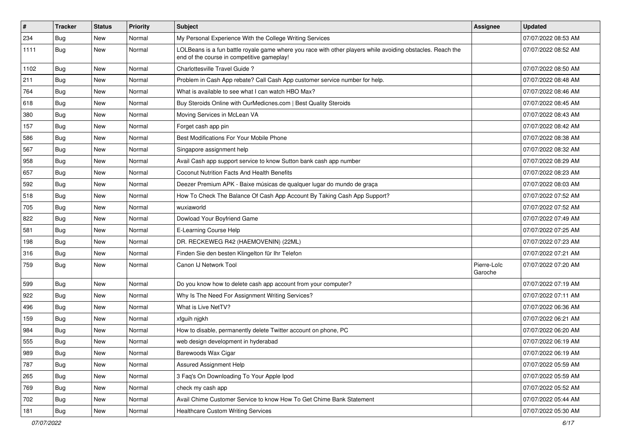| $\vert$ # | <b>Tracker</b> | <b>Status</b> | <b>Priority</b> | <b>Subject</b>                                                                                                                                           | <b>Assignee</b>        | <b>Updated</b>      |
|-----------|----------------|---------------|-----------------|----------------------------------------------------------------------------------------------------------------------------------------------------------|------------------------|---------------------|
| 234       | <b>Bug</b>     | New           | Normal          | My Personal Experience With the College Writing Services                                                                                                 |                        | 07/07/2022 08:53 AM |
| 1111      | <b>Bug</b>     | New           | Normal          | LOLBeans is a fun battle royale game where you race with other players while avoiding obstacles. Reach the<br>end of the course in competitive gameplay! |                        | 07/07/2022 08:52 AM |
| 1102      | Bug            | New           | Normal          | Charlottesville Travel Guide?                                                                                                                            |                        | 07/07/2022 08:50 AM |
| 211       | Bug            | New           | Normal          | Problem in Cash App rebate? Call Cash App customer service number for help.                                                                              |                        | 07/07/2022 08:48 AM |
| 764       | <b>Bug</b>     | New           | Normal          | What is available to see what I can watch HBO Max?                                                                                                       |                        | 07/07/2022 08:46 AM |
| 618       | Bug            | New           | Normal          | Buy Steroids Online with OurMedicnes.com   Best Quality Steroids                                                                                         |                        | 07/07/2022 08:45 AM |
| 380       | Bug            | New           | Normal          | Moving Services in McLean VA                                                                                                                             |                        | 07/07/2022 08:43 AM |
| 157       | Bug            | New           | Normal          | Forget cash app pin                                                                                                                                      |                        | 07/07/2022 08:42 AM |
| 586       | <b>Bug</b>     | New           | Normal          | Best Modifications For Your Mobile Phone                                                                                                                 |                        | 07/07/2022 08:38 AM |
| 567       | Bug            | New           | Normal          | Singapore assignment help                                                                                                                                |                        | 07/07/2022 08:32 AM |
| 958       | <b>Bug</b>     | New           | Normal          | Avail Cash app support service to know Sutton bank cash app number                                                                                       |                        | 07/07/2022 08:29 AM |
| 657       | Bug            | New           | Normal          | <b>Coconut Nutrition Facts And Health Benefits</b>                                                                                                       |                        | 07/07/2022 08:23 AM |
| 592       | Bug            | New           | Normal          | Deezer Premium APK - Baixe músicas de qualquer lugar do mundo de graça                                                                                   |                        | 07/07/2022 08:03 AM |
| 518       | Bug            | New           | Normal          | How To Check The Balance Of Cash App Account By Taking Cash App Support?                                                                                 |                        | 07/07/2022 07:52 AM |
| 705       | <b>Bug</b>     | New           | Normal          | wuxiaworld                                                                                                                                               |                        | 07/07/2022 07:52 AM |
| 822       | <b>Bug</b>     | New           | Normal          | Dowload Your Boyfriend Game                                                                                                                              |                        | 07/07/2022 07:49 AM |
| 581       | Bug            | New           | Normal          | E-Learning Course Help                                                                                                                                   |                        | 07/07/2022 07:25 AM |
| 198       | <b>Bug</b>     | New           | Normal          | DR. RECKEWEG R42 (HAEMOVENIN) (22ML)                                                                                                                     |                        | 07/07/2022 07:23 AM |
| 316       | Bug            | New           | Normal          | Finden Sie den besten Klingelton für Ihr Telefon                                                                                                         |                        | 07/07/2022 07:21 AM |
| 759       | <b>Bug</b>     | New           | Normal          | Canon IJ Network Tool                                                                                                                                    | Pierre-Loïc<br>Garoche | 07/07/2022 07:20 AM |
| 599       | Bug            | New           | Normal          | Do you know how to delete cash app account from your computer?                                                                                           |                        | 07/07/2022 07:19 AM |
| 922       | Bug            | New           | Normal          | Why Is The Need For Assignment Writing Services?                                                                                                         |                        | 07/07/2022 07:11 AM |
| 496       | <b>Bug</b>     | New           | Normal          | What is Live NetTV?                                                                                                                                      |                        | 07/07/2022 06:36 AM |
| 159       | Bug            | New           | Normal          | xfguih njgkh                                                                                                                                             |                        | 07/07/2022 06:21 AM |
| 984       | <b>Bug</b>     | New           | Normal          | How to disable, permanently delete Twitter account on phone, PC                                                                                          |                        | 07/07/2022 06:20 AM |
| 555       | <b>Bug</b>     | New           | Normal          | web design development in hyderabad                                                                                                                      |                        | 07/07/2022 06:19 AM |
| 989       | Bug            | New           | Normal          | Barewoods Wax Cigar                                                                                                                                      |                        | 07/07/2022 06:19 AM |
| 787       | Bug            | New           | Normal          | <b>Assured Assignment Help</b>                                                                                                                           |                        | 07/07/2022 05:59 AM |
| 265       | Bug            | New           | Normal          | 3 Faq's On Downloading To Your Apple Ipod                                                                                                                |                        | 07/07/2022 05:59 AM |
| 769       | <b>Bug</b>     | New           | Normal          | check my cash app                                                                                                                                        |                        | 07/07/2022 05:52 AM |
| 702       | <b>Bug</b>     | New           | Normal          | Avail Chime Customer Service to know How To Get Chime Bank Statement                                                                                     |                        | 07/07/2022 05:44 AM |
| 181       | <b>Bug</b>     | New           | Normal          | Healthcare Custom Writing Services                                                                                                                       |                        | 07/07/2022 05:30 AM |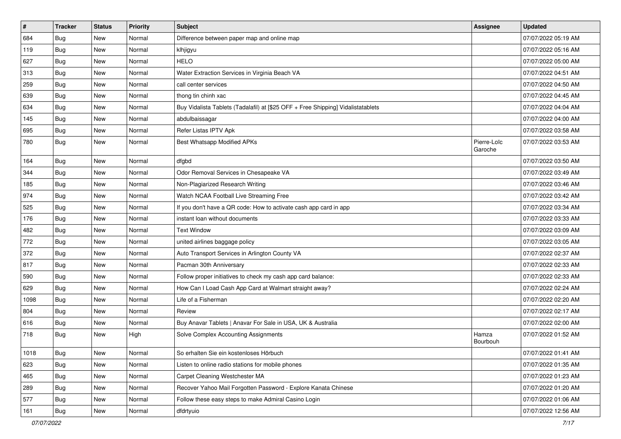| $\vert$ # | <b>Tracker</b> | <b>Status</b> | Priority | Subject                                                                          | Assignee               | <b>Updated</b>      |
|-----------|----------------|---------------|----------|----------------------------------------------------------------------------------|------------------------|---------------------|
| 684       | <b>Bug</b>     | New           | Normal   | Difference between paper map and online map                                      |                        | 07/07/2022 05:19 AM |
| 119       | <b>Bug</b>     | New           | Normal   | klhjigyu                                                                         |                        | 07/07/2022 05:16 AM |
| 627       | Bug            | New           | Normal   | <b>HELO</b>                                                                      |                        | 07/07/2022 05:00 AM |
| 313       | <b>Bug</b>     | <b>New</b>    | Normal   | Water Extraction Services in Virginia Beach VA                                   |                        | 07/07/2022 04:51 AM |
| 259       | <b>Bug</b>     | New           | Normal   | call center services                                                             |                        | 07/07/2022 04:50 AM |
| 639       | Bug            | New           | Normal   | thong tin chinh xac                                                              |                        | 07/07/2022 04:45 AM |
| 634       | Bug            | New           | Normal   | Buy Vidalista Tablets (Tadalafil) at [\$25 OFF + Free Shipping] Vidalistatablets |                        | 07/07/2022 04:04 AM |
| 145       | Bug            | New           | Normal   | abdulbaissagar                                                                   |                        | 07/07/2022 04:00 AM |
| 695       | <b>Bug</b>     | New           | Normal   | Refer Listas IPTV Apk                                                            |                        | 07/07/2022 03:58 AM |
| 780       | <b>Bug</b>     | New           | Normal   | Best Whatsapp Modified APKs                                                      | Pierre-Loïc<br>Garoche | 07/07/2022 03:53 AM |
| 164       | Bug            | <b>New</b>    | Normal   | dfgbd                                                                            |                        | 07/07/2022 03:50 AM |
| 344       | Bug            | New           | Normal   | Odor Removal Services in Chesapeake VA                                           |                        | 07/07/2022 03:49 AM |
| 185       | Bug            | New           | Normal   | Non-Plagiarized Research Writing                                                 |                        | 07/07/2022 03:46 AM |
| 974       | Bug            | <b>New</b>    | Normal   | Watch NCAA Football Live Streaming Free                                          |                        | 07/07/2022 03:42 AM |
| 525       | Bug            | New           | Normal   | If you don't have a QR code: How to activate cash app card in app                |                        | 07/07/2022 03:34 AM |
| 176       | <b>Bug</b>     | New           | Normal   | instant loan without documents                                                   |                        | 07/07/2022 03:33 AM |
| 482       | Bug            | New           | Normal   | <b>Text Window</b>                                                               |                        | 07/07/2022 03:09 AM |
| 772       | <b>Bug</b>     | New           | Normal   | united airlines baggage policy                                                   |                        | 07/07/2022 03:05 AM |
| 372       | Bug            | New           | Normal   | Auto Transport Services in Arlington County VA                                   |                        | 07/07/2022 02:37 AM |
| 817       | Bug            | <b>New</b>    | Normal   | Pacman 30th Anniversary                                                          |                        | 07/07/2022 02:33 AM |
| 590       | <b>Bug</b>     | New           | Normal   | Follow proper initiatives to check my cash app card balance:                     |                        | 07/07/2022 02:33 AM |
| 629       | Bug            | New           | Normal   | How Can I Load Cash App Card at Walmart straight away?                           |                        | 07/07/2022 02:24 AM |
| 1098      | <b>Bug</b>     | New           | Normal   | Life of a Fisherman                                                              |                        | 07/07/2022 02:20 AM |
| 804       | <b>Bug</b>     | New           | Normal   | Review                                                                           |                        | 07/07/2022 02:17 AM |
| 616       | <b>Bug</b>     | New           | Normal   | Buy Anavar Tablets   Anavar For Sale in USA, UK & Australia                      |                        | 07/07/2022 02:00 AM |
| 718       | <b>Bug</b>     | New           | High     | Solve Complex Accounting Assignments                                             | Hamza<br>Bourbouh      | 07/07/2022 01:52 AM |
| 1018      | Bug            | New           | Normal   | So erhalten Sie ein kostenloses Hörbuch                                          |                        | 07/07/2022 01:41 AM |
| 623       | Bug            | New           | Normal   | Listen to online radio stations for mobile phones                                |                        | 07/07/2022 01:35 AM |
| 465       | Bug            | New           | Normal   | Carpet Cleaning Westchester MA                                                   |                        | 07/07/2022 01:23 AM |
| 289       | <b>Bug</b>     | New           | Normal   | Recover Yahoo Mail Forgotten Password - Explore Kanata Chinese                   |                        | 07/07/2022 01:20 AM |
| 577       | <b>Bug</b>     | New           | Normal   | Follow these easy steps to make Admiral Casino Login                             |                        | 07/07/2022 01:06 AM |
| 161       | Bug            | New           | Normal   | dfdrtyuio                                                                        |                        | 07/07/2022 12:56 AM |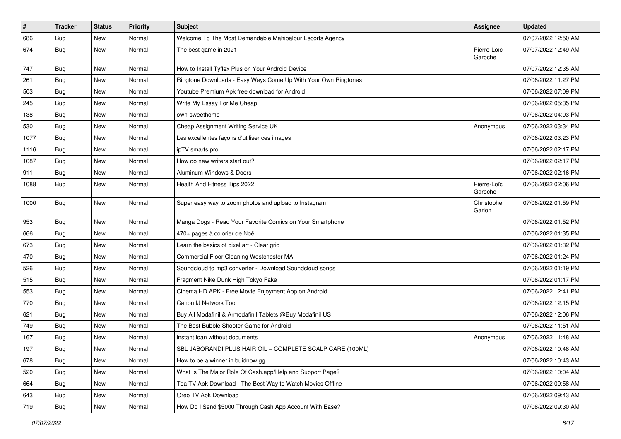| #    | <b>Tracker</b> | <b>Status</b> | <b>Priority</b> | Subject                                                        | <b>Assignee</b>        | <b>Updated</b>      |
|------|----------------|---------------|-----------------|----------------------------------------------------------------|------------------------|---------------------|
| 686  | <b>Bug</b>     | New           | Normal          | Welcome To The Most Demandable Mahipalpur Escorts Agency       |                        | 07/07/2022 12:50 AM |
| 674  | Bug            | New           | Normal          | The best game in 2021                                          | Pierre-Loïc<br>Garoche | 07/07/2022 12:49 AM |
| 747  | Bug            | New           | Normal          | How to Install Tyflex Plus on Your Android Device              |                        | 07/07/2022 12:35 AM |
| 261  | Bug            | New           | Normal          | Ringtone Downloads - Easy Ways Come Up With Your Own Ringtones |                        | 07/06/2022 11:27 PM |
| 503  | Bug            | New           | Normal          | Youtube Premium Apk free download for Android                  |                        | 07/06/2022 07:09 PM |
| 245  | Bug            | New           | Normal          | Write My Essay For Me Cheap                                    |                        | 07/06/2022 05:35 PM |
| 138  | Bug            | New           | Normal          | own-sweethome                                                  |                        | 07/06/2022 04:03 PM |
| 530  | <b>Bug</b>     | New           | Normal          | Cheap Assignment Writing Service UK                            | Anonymous              | 07/06/2022 03:34 PM |
| 1077 | Bug            | New           | Normal          | Les excellentes façons d'utiliser ces images                   |                        | 07/06/2022 03:23 PM |
| 1116 | <b>Bug</b>     | New           | Normal          | ipTV smarts pro                                                |                        | 07/06/2022 02:17 PM |
| 1087 | <b>Bug</b>     | New           | Normal          | How do new writers start out?                                  |                        | 07/06/2022 02:17 PM |
| 911  | Bug            | New           | Normal          | Aluminum Windows & Doors                                       |                        | 07/06/2022 02:16 PM |
| 1088 | Bug            | New           | Normal          | Health And Fitness Tips 2022                                   | Pierre-Loïc<br>Garoche | 07/06/2022 02:06 PM |
| 1000 | Bug            | New           | Normal          | Super easy way to zoom photos and upload to Instagram          | Christophe<br>Garion   | 07/06/2022 01:59 PM |
| 953  | <b>Bug</b>     | New           | Normal          | Manga Dogs - Read Your Favorite Comics on Your Smartphone      |                        | 07/06/2022 01:52 PM |
| 666  | Bug            | New           | Normal          | 470+ pages à colorier de Noël                                  |                        | 07/06/2022 01:35 PM |
| 673  | <b>Bug</b>     | New           | Normal          | Learn the basics of pixel art - Clear grid                     |                        | 07/06/2022 01:32 PM |
| 470  | Bug            | New           | Normal          | Commercial Floor Cleaning Westchester MA                       |                        | 07/06/2022 01:24 PM |
| 526  | Bug            | New           | Normal          | Soundcloud to mp3 converter - Download Soundcloud songs        |                        | 07/06/2022 01:19 PM |
| 515  | Bug            | New           | Normal          | Fragment Nike Dunk High Tokyo Fake                             |                        | 07/06/2022 01:17 PM |
| 553  | Bug            | New           | Normal          | Cinema HD APK - Free Movie Enjoyment App on Android            |                        | 07/06/2022 12:41 PM |
| 770  | <b>Bug</b>     | New           | Normal          | Canon IJ Network Tool                                          |                        | 07/06/2022 12:15 PM |
| 621  | Bug            | New           | Normal          | Buy All Modafinil & Armodafinil Tablets @Buy Modafinil US      |                        | 07/06/2022 12:06 PM |
| 749  | Bug            | New           | Normal          | The Best Bubble Shooter Game for Android                       |                        | 07/06/2022 11:51 AM |
| 167  | Bug            | New           | Normal          | instant loan without documents                                 | Anonymous              | 07/06/2022 11:48 AM |
| 197  | Bug            | New           | Normal          | SBL JABORANDI PLUS HAIR OIL - COMPLETE SCALP CARE (100ML)      |                        | 07/06/2022 10:48 AM |
| 678  | <b>Bug</b>     | New           | Normal          | How to be a winner in buidnow gg                               |                        | 07/06/2022 10:43 AM |
| 520  | Bug            | New           | Normal          | What Is The Major Role Of Cash.app/Help and Support Page?      |                        | 07/06/2022 10:04 AM |
| 664  | <b>Bug</b>     | New           | Normal          | Tea TV Apk Download - The Best Way to Watch Movies Offline     |                        | 07/06/2022 09:58 AM |
| 643  | Bug            | New           | Normal          | Oreo TV Apk Download                                           |                        | 07/06/2022 09:43 AM |
| 719  | <b>Bug</b>     | New           | Normal          | How Do I Send \$5000 Through Cash App Account With Ease?       |                        | 07/06/2022 09:30 AM |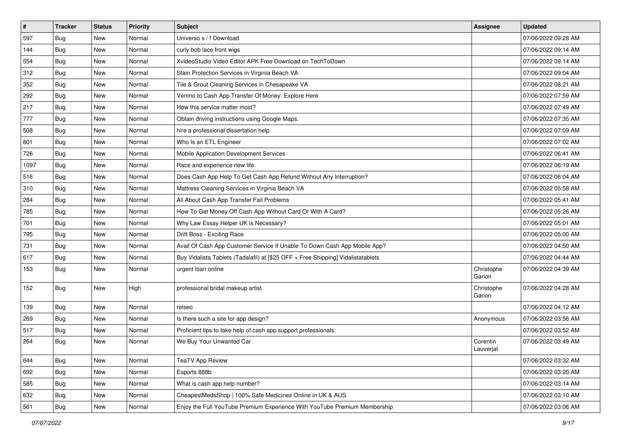| $\vert$ # | <b>Tracker</b> | <b>Status</b> | Priority | <b>Subject</b>                                                                   | Assignee              | <b>Updated</b>      |
|-----------|----------------|---------------|----------|----------------------------------------------------------------------------------|-----------------------|---------------------|
| 597       | <b>Bug</b>     | New           | Normal   | Universo s / f Download                                                          |                       | 07/06/2022 09:28 AM |
| 144       | Bug            | New           | Normal   | curly bob lace front wigs                                                        |                       | 07/06/2022 09:14 AM |
| 554       | Bug            | New           | Normal   | XvideoStudio Video Editor APK Free Download on TechToDown                        |                       | 07/06/2022 09:14 AM |
| 312       | <b>Bug</b>     | New           | Normal   | Stain Protection Services in Virginia Beach VA                                   |                       | 07/06/2022 09:04 AM |
| 352       | Bug            | New           | Normal   | Tile & Grout Cleaning Services in Chesapeake VA                                  |                       | 07/06/2022 08:21 AM |
| 292       | <b>Bug</b>     | New           | Normal   | Venmo to Cash App Transfer Of Money- Explore Here                                |                       | 07/06/2022 07:59 AM |
| 217       | Bug            | New           | Normal   | How this service matter most?                                                    |                       | 07/06/2022 07:49 AM |
| 777       | <b>Bug</b>     | New           | Normal   | Obtain driving instructions using Google Maps.                                   |                       | 07/06/2022 07:35 AM |
| 508       | <b>Bug</b>     | New           | Normal   | hire a professional dissertation help                                            |                       | 07/06/2022 07:09 AM |
| 801       | Bug            | New           | Normal   | Who Is an ETL Engineer                                                           |                       | 07/06/2022 07:02 AM |
| 726       | Bug            | New           | Normal   | Mobile Application Development Services                                          |                       | 07/06/2022 06:41 AM |
| 1097      | <b>Bug</b>     | New           | Normal   | Race and experience new life.                                                    |                       | 07/06/2022 06:19 AM |
| 516       | Bug            | New           | Normal   | Does Cash App Help To Get Cash App Refund Without Any Interruption?              |                       | 07/06/2022 06:04 AM |
| 310       | Bug            | New           | Normal   | Mattress Cleaning Services in Virginia Beach VA                                  |                       | 07/06/2022 05:58 AM |
| 284       | Bug            | New           | Normal   | All About Cash App Transfer Fail Problems                                        |                       | 07/06/2022 05:41 AM |
| 785       | Bug            | New           | Normal   | How To Get Money Off Cash App Without Card Or With A Card?                       |                       | 07/06/2022 05:26 AM |
| 701       | <b>Bug</b>     | New           | Normal   | Why Law Essay Helper UK is Necessary?                                            |                       | 07/06/2022 05:01 AM |
| 795       | <b>Bug</b>     | New           | Normal   | Drift Boss - Exciting Race                                                       |                       | 07/06/2022 05:00 AM |
| 731       | <b>Bug</b>     | New           | Normal   | Avail Of Cash App Customer Service If Unable To Down Cash App Mobile App?        |                       | 07/06/2022 04:50 AM |
| 617       | <b>Bug</b>     | New           | Normal   | Buy Vidalista Tablets (Tadalafil) at [\$25 OFF + Free Shipping] Vidalistatablets |                       | 07/06/2022 04:44 AM |
| 153       | Bug            | New           | Normal   | urgent loan online                                                               | Christophe<br>Garion  | 07/06/2022 04:39 AM |
| 152       | Bug            | New           | High     | professional bridal makeup artist                                                | Christophe<br>Garion  | 07/06/2022 04:28 AM |
| 139       | <b>Bug</b>     | New           | Normal   | relseo                                                                           |                       | 07/06/2022 04:12 AM |
| 269       | Bug            | New           | Normal   | Is there such a site for app design?                                             | Anonymous             | 07/06/2022 03:56 AM |
| 517       | <b>Bug</b>     | New           | Normal   | Proficient tips to take help of cash app support professionals:                  |                       | 07/06/2022 03:52 AM |
| 264       | <b>Bug</b>     | New           | Normal   | We Buy Your Unwanted Car                                                         | Corentin<br>Lauverjat | 07/06/2022 03:49 AM |
| 644       | Bug            | New           | Normal   | <b>TeaTV App Review</b>                                                          |                       | 07/06/2022 03:32 AM |
| 692       | Bug            | New           | Normal   | Esports 888b                                                                     |                       | 07/06/2022 03:20 AM |
| 585       | <b>Bug</b>     | New           | Normal   | What is cash app help number?                                                    |                       | 07/06/2022 03:14 AM |
| 632       | Bug            | New           | Normal   | CheapestMedsShop   100% Safe Medicines Online in UK & AUS.                       |                       | 07/06/2022 03:10 AM |
| 561       | Bug            | New           | Normal   | Enjoy the Full YouTube Premium Experience With YouTube Premium Membership        |                       | 07/06/2022 03:06 AM |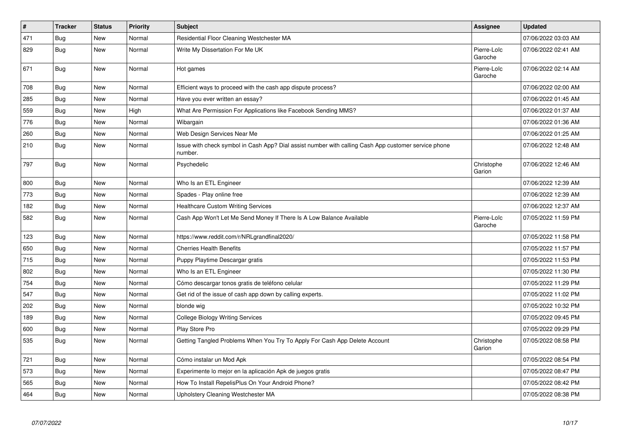| $\vert$ # | <b>Tracker</b> | <b>Status</b> | Priority | <b>Subject</b>                                                                                                  | Assignee               | <b>Updated</b>      |
|-----------|----------------|---------------|----------|-----------------------------------------------------------------------------------------------------------------|------------------------|---------------------|
| 471       | Bug            | New           | Normal   | Residential Floor Cleaning Westchester MA                                                                       |                        | 07/06/2022 03:03 AM |
| 829       | Bug            | <b>New</b>    | Normal   | Write My Dissertation For Me UK                                                                                 | Pierre-Loïc<br>Garoche | 07/06/2022 02:41 AM |
| 671       | Bug            | <b>New</b>    | Normal   | Hot games                                                                                                       | Pierre-Loïc<br>Garoche | 07/06/2022 02:14 AM |
| 708       | Bug            | <b>New</b>    | Normal   | Efficient ways to proceed with the cash app dispute process?                                                    |                        | 07/06/2022 02:00 AM |
| 285       | <b>Bug</b>     | New           | Normal   | Have you ever written an essay?                                                                                 |                        | 07/06/2022 01:45 AM |
| 559       | <b>Bug</b>     | <b>New</b>    | High     | What Are Permission For Applications like Facebook Sending MMS?                                                 |                        | 07/06/2022 01:37 AM |
| 776       | <b>Bug</b>     | New           | Normal   | Wibargain                                                                                                       |                        | 07/06/2022 01:36 AM |
| 260       | <b>Bug</b>     | <b>New</b>    | Normal   | Web Design Services Near Me                                                                                     |                        | 07/06/2022 01:25 AM |
| 210       | <b>Bug</b>     | New           | Normal   | Issue with check symbol in Cash App? Dial assist number with calling Cash App customer service phone<br>number. |                        | 07/06/2022 12:48 AM |
| 797       | <b>Bug</b>     | New           | Normal   | Psychedelic                                                                                                     | Christophe<br>Garion   | 07/06/2022 12:46 AM |
| 800       | Bug            | New           | Normal   | Who Is an ETL Engineer                                                                                          |                        | 07/06/2022 12:39 AM |
| 773       | Bug            | <b>New</b>    | Normal   | Spades - Play online free                                                                                       |                        | 07/06/2022 12:39 AM |
| 182       | Bug            | New           | Normal   | <b>Healthcare Custom Writing Services</b>                                                                       |                        | 07/06/2022 12:37 AM |
| 582       | <b>Bug</b>     | <b>New</b>    | Normal   | Cash App Won't Let Me Send Money If There Is A Low Balance Available                                            | Pierre-Loïc<br>Garoche | 07/05/2022 11:59 PM |
| 123       | Bug            | New           | Normal   | https://www.reddit.com/r/NRLgrandfinal2020/                                                                     |                        | 07/05/2022 11:58 PM |
| 650       | Bug            | New           | Normal   | <b>Cherries Health Benefits</b>                                                                                 |                        | 07/05/2022 11:57 PM |
| 715       | <b>Bug</b>     | <b>New</b>    | Normal   | Puppy Playtime Descargar gratis                                                                                 |                        | 07/05/2022 11:53 PM |
| 802       | Bug            | New           | Normal   | Who Is an ETL Engineer                                                                                          |                        | 07/05/2022 11:30 PM |
| 754       | <b>Bug</b>     | <b>New</b>    | Normal   | Cómo descargar tonos gratis de teléfono celular                                                                 |                        | 07/05/2022 11:29 PM |
| 547       | <b>Bug</b>     | New           | Normal   | Get rid of the issue of cash app down by calling experts.                                                       |                        | 07/05/2022 11:02 PM |
| 202       | <b>Bug</b>     | New           | Normal   | blonde wig                                                                                                      |                        | 07/05/2022 10:32 PM |
| 189       | Bug            | New           | Normal   | <b>College Biology Writing Services</b>                                                                         |                        | 07/05/2022 09:45 PM |
| 600       | <b>Bug</b>     | New           | Normal   | Play Store Pro                                                                                                  |                        | 07/05/2022 09:29 PM |
| 535       | Bug            | New           | Normal   | Getting Tangled Problems When You Try To Apply For Cash App Delete Account                                      | Christophe<br>Garion   | 07/05/2022 08:58 PM |
| 721       | Bug            | New           | Normal   | Cómo instalar un Mod Apk                                                                                        |                        | 07/05/2022 08:54 PM |
| 573       | <b>Bug</b>     | New           | Normal   | Experimente lo mejor en la aplicación Apk de juegos gratis                                                      |                        | 07/05/2022 08:47 PM |
| 565       | Bug            | New           | Normal   | How To Install RepelisPlus On Your Android Phone?                                                               |                        | 07/05/2022 08:42 PM |
| 464       | <b>Bug</b>     | <b>New</b>    | Normal   | Upholstery Cleaning Westchester MA                                                                              |                        | 07/05/2022 08:38 PM |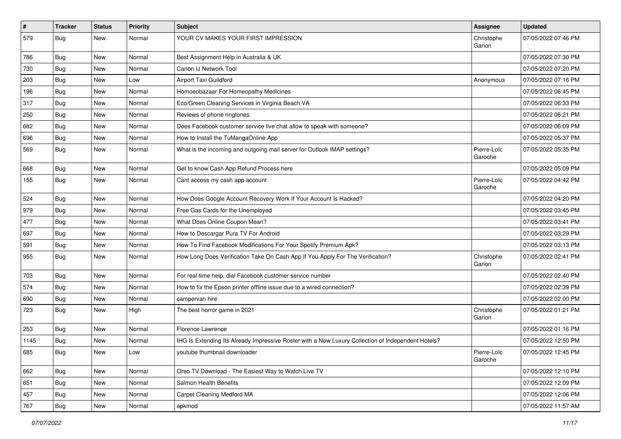| $\pmb{\#}$ | Tracker    | <b>Status</b> | <b>Priority</b> | Subject                                                                                            | Assignee               | <b>Updated</b>      |
|------------|------------|---------------|-----------------|----------------------------------------------------------------------------------------------------|------------------------|---------------------|
| 579        | <b>Bug</b> | New           | Normal          | YOUR CV MAKES YOUR FIRST IMPRESSION                                                                | Christophe<br>Garion   | 07/05/2022 07:46 PM |
| 786        | <b>Bug</b> | New           | Normal          | Best Assignment Help in Australia & UK                                                             |                        | 07/05/2022 07:30 PM |
| 730        | <b>Bug</b> | New           | Normal          | Canon IJ Network Tool                                                                              |                        | 07/05/2022 07:20 PM |
| 203        | Bug        | New           | Low             | Airport Taxi Guildford                                                                             | Anonymous              | 07/05/2022 07:16 PM |
| 196        | <b>Bug</b> | New           | Normal          | Homoeobazaar For Homeopathy Medicines                                                              |                        | 07/05/2022 06:45 PM |
| 317        | Bug        | New           | Normal          | Eco/Green Cleaning Services in Virginia Beach VA                                                   |                        | 07/05/2022 06:33 PM |
| 250        | Bug        | New           | Normal          | Reviews of phone ringtones                                                                         |                        | 07/05/2022 06:21 PM |
| 682        | <b>Bug</b> | New           | Normal          | Does Facebook customer service live chat allow to speak with someone?                              |                        | 07/05/2022 06:09 PM |
| 696        | Bug        | New           | Normal          | How to Install the TuMangaOnline App                                                               |                        | 07/05/2022 05:37 PM |
| 569        | <b>Bug</b> | New           | Normal          | What is the incoming and outgoing mail server for Outlook IMAP settings?                           | Pierre-Loïc<br>Garoche | 07/05/2022 05:35 PM |
| 668        | Bug        | New           | Normal          | Get to know Cash App Refund Process here                                                           |                        | 07/05/2022 05:09 PM |
| 155        | <b>Bug</b> | New           | Normal          | Cant access my cash app account                                                                    | Pierre-Loïc<br>Garoche | 07/05/2022 04:42 PM |
| 524        | <b>Bug</b> | New           | Normal          | How Does Google Account Recovery Work If Your Account Is Hacked?                                   |                        | 07/05/2022 04:20 PM |
| 979        | <b>Bug</b> | New           | Normal          | Free Gas Cards for the Unemployed                                                                  |                        | 07/05/2022 03:45 PM |
| 477        | Bug        | New           | Normal          | What Does Online Coupon Mean?                                                                      |                        | 07/05/2022 03:41 PM |
| 697        | <b>Bug</b> | New           | Normal          | How to Descargar Pura TV For Android                                                               |                        | 07/05/2022 03:29 PM |
| 591        | Bug        | New           | Normal          | How To Find Facebook Modifications For Your Spotify Premium Apk?                                   |                        | 07/05/2022 03:13 PM |
| 955        | Bug        | New           | Normal          | How Long Does Verification Take On Cash App If You Apply For The Verification?                     | Christophe<br>Garion   | 07/05/2022 02:41 PM |
| 703        | <b>Bug</b> | New           | Normal          | For real-time help, dial Facebook customer service number                                          |                        | 07/05/2022 02:40 PM |
| 574        | Bug        | New           | Normal          | How to fix the Epson printer offline issue due to a wired connection?                              |                        | 07/05/2022 02:39 PM |
| 690        | <b>Bug</b> | New           | Normal          | campervan hire                                                                                     |                        | 07/05/2022 02:00 PM |
| 723        | <b>Bug</b> | New           | High            | The best horror game in 2021                                                                       | Christophe<br>Garion   | 07/05/2022 01:21 PM |
| 253        | Bug        | New           | Normal          | Florence Lawrence                                                                                  |                        | 07/05/2022 01:16 PM |
| 1145       | Bug        | New           | Normal          | IHG Is Extending Its Already Impressive Roster with a New Luxury Collection of Independent Hotels? |                        | 07/05/2022 12:50 PM |
| 685        | <b>Bug</b> | New           | Low             | youtube thumbnail downloader                                                                       | Pierre-Loïc<br>Garoche | 07/05/2022 12:45 PM |
| 662        | Bug        | New           | Normal          | Oreo TV Download - The Easiest Way to Watch Live TV                                                |                        | 07/05/2022 12:10 PM |
| 651        | Bug        | New           | Normal          | Salmon Health Benefits                                                                             |                        | 07/05/2022 12:09 PM |
| 457        | <b>Bug</b> | New           | Normal          | Carpet Cleaning Medford MA                                                                         |                        | 07/05/2022 12:06 PM |
| 767        | <b>Bug</b> | New           | Normal          | apkmod                                                                                             |                        | 07/05/2022 11:57 AM |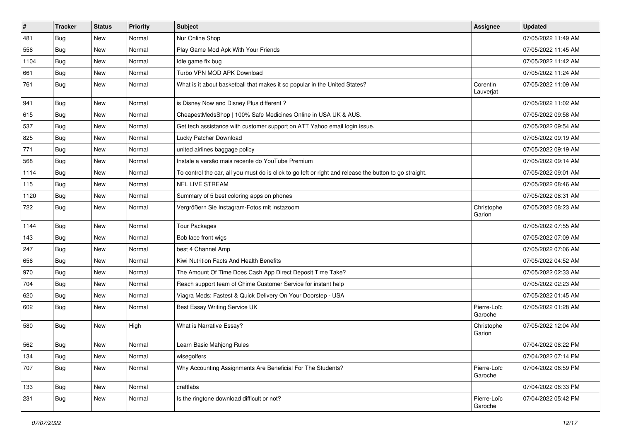| $\vert$ # | <b>Tracker</b> | <b>Status</b> | Priority | <b>Subject</b>                                                                                          | Assignee               | <b>Updated</b>      |
|-----------|----------------|---------------|----------|---------------------------------------------------------------------------------------------------------|------------------------|---------------------|
| 481       | <b>Bug</b>     | New           | Normal   | Nur Online Shop                                                                                         |                        | 07/05/2022 11:49 AM |
| 556       | Bug            | <b>New</b>    | Normal   | Play Game Mod Apk With Your Friends                                                                     |                        | 07/05/2022 11:45 AM |
| 1104      | Bug            | New           | Normal   | Idle game fix bug                                                                                       |                        | 07/05/2022 11:42 AM |
| 661       | <b>Bug</b>     | New           | Normal   | Turbo VPN MOD APK Download                                                                              |                        | 07/05/2022 11:24 AM |
| 761       | Bug            | <b>New</b>    | Normal   | What is it about basketball that makes it so popular in the United States?                              | Corentin<br>Lauverjat  | 07/05/2022 11:09 AM |
| 941       | Bug            | <b>New</b>    | Normal   | is Disney Now and Disney Plus different?                                                                |                        | 07/05/2022 11:02 AM |
| 615       | Bug            | New           | Normal   | CheapestMedsShop   100% Safe Medicines Online in USA UK & AUS.                                          |                        | 07/05/2022 09:58 AM |
| 537       | Bug            | <b>New</b>    | Normal   | Get tech assistance with customer support on ATT Yahoo email login issue.                               |                        | 07/05/2022 09:54 AM |
| 825       | Bug            | <b>New</b>    | Normal   | Lucky Patcher Download                                                                                  |                        | 07/05/2022 09:19 AM |
| 771       | Bug            | New           | Normal   | united airlines baggage policy                                                                          |                        | 07/05/2022 09:19 AM |
| 568       | <b>Bug</b>     | New           | Normal   | Instale a versão mais recente do YouTube Premium                                                        |                        | 07/05/2022 09:14 AM |
| 1114      | Bug            | <b>New</b>    | Normal   | To control the car, all you must do is click to go left or right and release the button to go straight. |                        | 07/05/2022 09:01 AM |
| 115       | Bug            | New           | Normal   | NFL LIVE STREAM                                                                                         |                        | 07/05/2022 08:46 AM |
| 1120      | Bug            | <b>New</b>    | Normal   | Summary of 5 best coloring apps on phones                                                               |                        | 07/05/2022 08:31 AM |
| 722       | Bug            | New           | Normal   | Vergrößern Sie Instagram-Fotos mit instazoom                                                            | Christophe<br>Garion   | 07/05/2022 08:23 AM |
| 1144      | <b>Bug</b>     | <b>New</b>    | Normal   | <b>Tour Packages</b>                                                                                    |                        | 07/05/2022 07:55 AM |
| 143       | Bug            | New           | Normal   | Bob lace front wigs                                                                                     |                        | 07/05/2022 07:09 AM |
| 247       | <b>Bug</b>     | New           | Normal   | best 4 Channel Amp                                                                                      |                        | 07/05/2022 07:06 AM |
| 656       | Bug            | <b>New</b>    | Normal   | Kiwi Nutrition Facts And Health Benefits                                                                |                        | 07/05/2022 04:52 AM |
| 970       | Bug            | New           | Normal   | The Amount Of Time Does Cash App Direct Deposit Time Take?                                              |                        | 07/05/2022 02:33 AM |
| 704       | Bug            | <b>New</b>    | Normal   | Reach support team of Chime Customer Service for instant help                                           |                        | 07/05/2022 02:23 AM |
| 620       | Bug            | New           | Normal   | Viagra Meds: Fastest & Quick Delivery On Your Doorstep - USA                                            |                        | 07/05/2022 01:45 AM |
| 602       | <b>Bug</b>     | New           | Normal   | Best Essay Writing Service UK                                                                           | Pierre-Loïc<br>Garoche | 07/05/2022 01:28 AM |
| 580       | Bug            | <b>New</b>    | High     | What is Narrative Essay?                                                                                | Christophe<br>Garion   | 07/05/2022 12:04 AM |
| 562       | <b>Bug</b>     | New           | Normal   | Learn Basic Mahjong Rules                                                                               |                        | 07/04/2022 08:22 PM |
| 134       | Bug            | New           | Normal   | wisegolfers                                                                                             |                        | 07/04/2022 07:14 PM |
| 707       | <b>Bug</b>     | New           | Normal   | Why Accounting Assignments Are Beneficial For The Students?                                             | Pierre-Loïc<br>Garoche | 07/04/2022 06:59 PM |
| 133       | Bug            | <b>New</b>    | Normal   | craftlabs                                                                                               |                        | 07/04/2022 06:33 PM |
| 231       | Bug            | New           | Normal   | Is the ringtone download difficult or not?                                                              | Pierre-Loïc<br>Garoche | 07/04/2022 05:42 PM |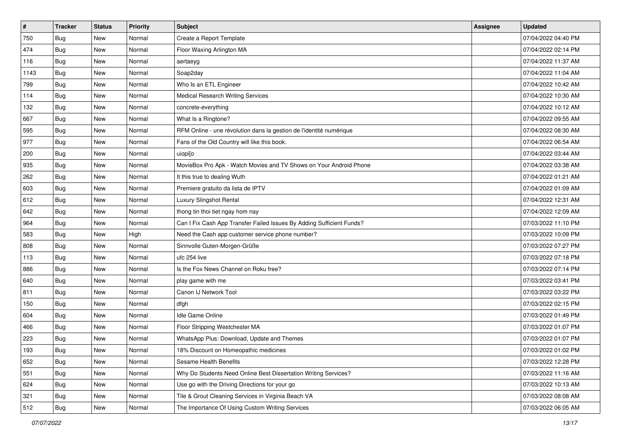| #    | <b>Tracker</b> | <b>Status</b> | <b>Priority</b> | <b>Subject</b>                                                        | Assignee | <b>Updated</b>      |
|------|----------------|---------------|-----------------|-----------------------------------------------------------------------|----------|---------------------|
| 750  | <b>Bug</b>     | New           | Normal          | Create a Report Template                                              |          | 07/04/2022 04:40 PM |
| 474  | <b>Bug</b>     | New           | Normal          | Floor Waxing Arlington MA                                             |          | 07/04/2022 02:14 PM |
| 116  | Bug            | New           | Normal          | aertaeyg                                                              |          | 07/04/2022 11:37 AM |
| 1143 | <b>Bug</b>     | New           | Normal          | Soap2day                                                              |          | 07/04/2022 11:04 AM |
| 799  | Bug            | New           | Normal          | Who Is an ETL Engineer                                                |          | 07/04/2022 10:42 AM |
| 114  | <b>Bug</b>     | New           | Normal          | <b>Medical Research Writing Services</b>                              |          | 07/04/2022 10:30 AM |
| 132  | Bug            | New           | Normal          | concrete-everything                                                   |          | 07/04/2022 10:12 AM |
| 667  | <b>Bug</b>     | New           | Normal          | What Is a Ringtone?                                                   |          | 07/04/2022 09:55 AM |
| 595  | <b>Bug</b>     | New           | Normal          | RFM Online - une révolution dans la gestion de l'identité numérique   |          | 07/04/2022 08:30 AM |
| 977  | Bug            | New           | Normal          | Fans of the Old Country will like this book.                          |          | 07/04/2022 06:54 AM |
| 200  | Bug            | New           | Normal          | uiopi[o                                                               |          | 07/04/2022 03:44 AM |
| 935  | Bug            | New           | Normal          | MovieBox Pro Apk - Watch Movies and TV Shows on Your Android Phone    |          | 07/04/2022 03:38 AM |
| 262  | Bug            | New           | Normal          | It this true to dealing Wuth                                          |          | 07/04/2022 01:21 AM |
| 603  | Bug            | New           | Normal          | Premiere gratuito da lista de IPTV                                    |          | 07/04/2022 01:09 AM |
| 612  | <b>Bug</b>     | New           | Normal          | <b>Luxury Slingshot Rental</b>                                        |          | 07/04/2022 12:31 AM |
| 642  | Bug            | New           | Normal          | thong tin thoi tiet ngay hom nay                                      |          | 07/04/2022 12:09 AM |
| 964  | <b>Bug</b>     | New           | Normal          | Can I Fix Cash App Transfer Failed Issues By Adding Sufficient Funds? |          | 07/03/2022 11:10 PM |
| 583  | Bug            | New           | High            | Need the Cash app customer service phone number?                      |          | 07/03/2022 10:09 PM |
| 808  | <b>Bug</b>     | New           | Normal          | Sinnvolle Guten-Morgen-Grüße                                          |          | 07/03/2022 07:27 PM |
| 113  | Bug            | New           | Normal          | ufc 254 live                                                          |          | 07/03/2022 07:18 PM |
| 886  | Bug            | New           | Normal          | Is the Fox News Channel on Roku free?                                 |          | 07/03/2022 07:14 PM |
| 640  | Bug            | New           | Normal          | play game with me                                                     |          | 07/03/2022 03:41 PM |
| 811  | Bug            | New           | Normal          | Canon IJ Network Tool                                                 |          | 07/03/2022 03:22 PM |
| 150  | <b>Bug</b>     | New           | Normal          | dfgh                                                                  |          | 07/03/2022 02:15 PM |
| 604  | Bug            | New           | Normal          | Idle Game Online                                                      |          | 07/03/2022 01:49 PM |
| 466  | Bug            | New           | Normal          | Floor Stripping Westchester MA                                        |          | 07/03/2022 01:07 PM |
| 223  | <b>Bug</b>     | New           | Normal          | WhatsApp Plus: Download, Update and Themes                            |          | 07/03/2022 01:07 PM |
| 193  | Bug            | New           | Normal          | 18% Discount on Homeopathic medicines                                 |          | 07/03/2022 01:02 PM |
| 652  | <b>Bug</b>     | New           | Normal          | Sesame Health Benefits                                                |          | 07/03/2022 12:28 PM |
| 551  | Bug            | New           | Normal          | Why Do Students Need Online Best Dissertation Writing Services?       |          | 07/03/2022 11:16 AM |
| 624  | Bug            | New           | Normal          | Use go with the Driving Directions for your go                        |          | 07/03/2022 10:13 AM |
| 321  | Bug            | New           | Normal          | Tile & Grout Cleaning Services in Virginia Beach VA                   |          | 07/03/2022 08:08 AM |
| 512  | <b>Bug</b>     | New           | Normal          | The Importance Of Using Custom Writing Services                       |          | 07/03/2022 06:05 AM |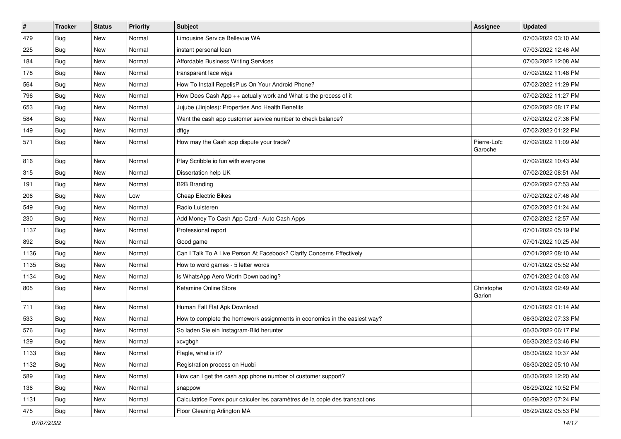| $\vert$ # | <b>Tracker</b> | <b>Status</b> | Priority | <b>Subject</b>                                                               | Assignee               | <b>Updated</b>      |
|-----------|----------------|---------------|----------|------------------------------------------------------------------------------|------------------------|---------------------|
| 479       | <b>Bug</b>     | New           | Normal   | Limousine Service Bellevue WA                                                |                        | 07/03/2022 03:10 AM |
| 225       | <b>Bug</b>     | New           | Normal   | instant personal loan                                                        |                        | 07/03/2022 12:46 AM |
| 184       | Bug            | New           | Normal   | Affordable Business Writing Services                                         |                        | 07/03/2022 12:08 AM |
| 178       | <b>Bug</b>     | New           | Normal   | transparent lace wigs                                                        |                        | 07/02/2022 11:48 PM |
| 564       | Bug            | New           | Normal   | How To Install RepelisPlus On Your Android Phone?                            |                        | 07/02/2022 11:29 PM |
| 796       | Bug            | New           | Normal   | How Does Cash App ++ actually work and What is the process of it             |                        | 07/02/2022 11:27 PM |
| 653       | Bug            | New           | Normal   | Jujube (Jinjoles): Properties And Health Benefits                            |                        | 07/02/2022 08:17 PM |
| 584       | <b>Bug</b>     | New           | Normal   | Want the cash app customer service number to check balance?                  |                        | 07/02/2022 07:36 PM |
| 149       | <b>Bug</b>     | New           | Normal   | dftgy                                                                        |                        | 07/02/2022 01:22 PM |
| 571       | <b>Bug</b>     | New           | Normal   | How may the Cash app dispute your trade?                                     | Pierre-Loïc<br>Garoche | 07/02/2022 11:09 AM |
| 816       | Bug            | <b>New</b>    | Normal   | Play Scribble io fun with everyone                                           |                        | 07/02/2022 10:43 AM |
| 315       | Bug            | New           | Normal   | Dissertation help UK                                                         |                        | 07/02/2022 08:51 AM |
| 191       | Bug            | New           | Normal   | <b>B2B Branding</b>                                                          |                        | 07/02/2022 07:53 AM |
| 206       | Bug            | <b>New</b>    | Low      | <b>Cheap Electric Bikes</b>                                                  |                        | 07/02/2022 07:46 AM |
| 549       | <b>Bug</b>     | New           | Normal   | Radio Luisteren                                                              |                        | 07/02/2022 01:24 AM |
| 230       | Bug            | New           | Normal   | Add Money To Cash App Card - Auto Cash Apps                                  |                        | 07/02/2022 12:57 AM |
| 1137      | Bug            | New           | Normal   | Professional report                                                          |                        | 07/01/2022 05:19 PM |
| 892       | <b>Bug</b>     | New           | Normal   | Good game                                                                    |                        | 07/01/2022 10:25 AM |
| 1136      | Bug            | New           | Normal   | Can I Talk To A Live Person At Facebook? Clarify Concerns Effectively        |                        | 07/01/2022 08:10 AM |
| 1135      | Bug            | <b>New</b>    | Normal   | How to word games - 5 letter words                                           |                        | 07/01/2022 05:52 AM |
| 1134      | <b>Bug</b>     | <b>New</b>    | Normal   | Is WhatsApp Aero Worth Downloading?                                          |                        | 07/01/2022 04:03 AM |
| 805       | Bug            | New           | Normal   | Ketamine Online Store                                                        | Christophe<br>Garion   | 07/01/2022 02:49 AM |
| 711       | <b>Bug</b>     | New           | Normal   | Human Fall Flat Apk Download                                                 |                        | 07/01/2022 01:14 AM |
| 533       | Bug            | <b>New</b>    | Normal   | How to complete the homework assignments in economics in the easiest way?    |                        | 06/30/2022 07:33 PM |
| 576       | <b>Bug</b>     | New           | Normal   | So laden Sie ein Instagram-Bild herunter                                     |                        | 06/30/2022 06:17 PM |
| 129       | <b>Bug</b>     | New           | Normal   | xcvgbgh                                                                      |                        | 06/30/2022 03:46 PM |
| 1133      | Bug            | New           | Normal   | Flagle, what is it?                                                          |                        | 06/30/2022 10:37 AM |
| 1132      | Bug            | New           | Normal   | Registration process on Huobi                                                |                        | 06/30/2022 05:10 AM |
| 589       | Bug            | New           | Normal   | How can I get the cash app phone number of customer support?                 |                        | 06/30/2022 12:20 AM |
| 136       | <b>Bug</b>     | New           | Normal   | snappow                                                                      |                        | 06/29/2022 10:52 PM |
| 1131      | Bug            | New           | Normal   | Calculatrice Forex pour calculer les paramètres de la copie des transactions |                        | 06/29/2022 07:24 PM |
| 475       | <b>Bug</b>     | New           | Normal   | Floor Cleaning Arlington MA                                                  |                        | 06/29/2022 05:53 PM |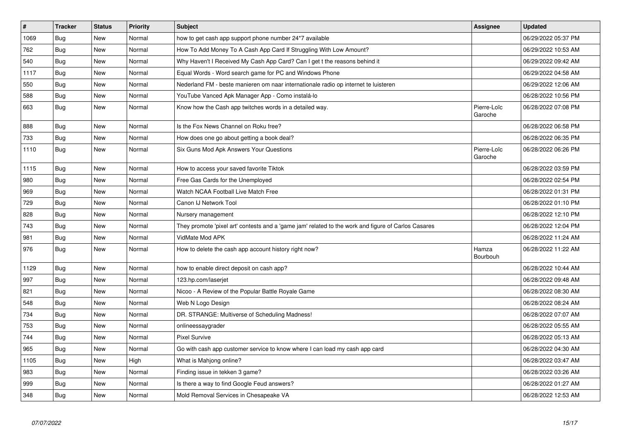| $\vert$ # | <b>Tracker</b> | <b>Status</b> | <b>Priority</b> | Subject                                                                                             | <b>Assignee</b>        | <b>Updated</b>      |
|-----------|----------------|---------------|-----------------|-----------------------------------------------------------------------------------------------------|------------------------|---------------------|
| 1069      | Bug            | New           | Normal          | how to get cash app support phone number 24*7 available                                             |                        | 06/29/2022 05:37 PM |
| 762       | Bug            | New           | Normal          | How To Add Money To A Cash App Card If Struggling With Low Amount?                                  |                        | 06/29/2022 10:53 AM |
| 540       | Bug            | New           | Normal          | Why Haven't I Received My Cash App Card? Can I get t the reasons behind it                          |                        | 06/29/2022 09:42 AM |
| 1117      | <b>Bug</b>     | New           | Normal          | Equal Words - Word search game for PC and Windows Phone                                             |                        | 06/29/2022 04:58 AM |
| 550       | Bug            | New           | Normal          | Nederland FM - beste manieren om naar internationale radio op internet te luisteren                 |                        | 06/29/2022 12:06 AM |
| 588       | Bug            | New           | Normal          | YouTube Vanced Apk Manager App - Como instalá-lo                                                    |                        | 06/28/2022 10:56 PM |
| 663       | Bug            | New           | Normal          | Know how the Cash app twitches words in a detailed way.                                             | Pierre-Loïc<br>Garoche | 06/28/2022 07:08 PM |
| 888       | Bug            | New           | Normal          | Is the Fox News Channel on Roku free?                                                               |                        | 06/28/2022 06:58 PM |
| 733       | Bug            | New           | Normal          | How does one go about getting a book deal?                                                          |                        | 06/28/2022 06:35 PM |
| 1110      | <b>Bug</b>     | New           | Normal          | Six Guns Mod Apk Answers Your Questions                                                             | Pierre-Loïc<br>Garoche | 06/28/2022 06:26 PM |
| 1115      | <b>Bug</b>     | New           | Normal          | How to access your saved favorite Tiktok                                                            |                        | 06/28/2022 03:59 PM |
| 980       | Bug            | New           | Normal          | Free Gas Cards for the Unemployed                                                                   |                        | 06/28/2022 02:54 PM |
| 969       | <b>Bug</b>     | New           | Normal          | Watch NCAA Football Live Match Free                                                                 |                        | 06/28/2022 01:31 PM |
| 729       | Bug            | New           | Normal          | Canon IJ Network Tool                                                                               |                        | 06/28/2022 01:10 PM |
| 828       | Bug            | New           | Normal          | Nursery management                                                                                  |                        | 06/28/2022 12:10 PM |
| 743       | Bug            | New           | Normal          | They promote 'pixel art' contests and a 'game jam' related to the work and figure of Carlos Casares |                        | 06/28/2022 12:04 PM |
| 981       | <b>Bug</b>     | New           | Normal          | VidMate Mod APK                                                                                     |                        | 06/28/2022 11:24 AM |
| 976       | <b>Bug</b>     | New           | Normal          | How to delete the cash app account history right now?                                               | Hamza<br>Bourbouh      | 06/28/2022 11:22 AM |
| 1129      | Bug            | New           | Normal          | how to enable direct deposit on cash app?                                                           |                        | 06/28/2022 10:44 AM |
| 997       | Bug            | New           | Normal          | 123.hp.com/laserjet                                                                                 |                        | 06/28/2022 09:48 AM |
| 821       | Bug            | <b>New</b>    | Normal          | Nicoo - A Review of the Popular Battle Royale Game                                                  |                        | 06/28/2022 08:30 AM |
| 548       | Bug            | New           | Normal          | Web N Logo Design                                                                                   |                        | 06/28/2022 08:24 AM |
| 734       | Bug            | <b>New</b>    | Normal          | DR. STRANGE: Multiverse of Scheduling Madness!                                                      |                        | 06/28/2022 07:07 AM |
| 753       | Bug            | New           | Normal          | onlineessaygrader                                                                                   |                        | 06/28/2022 05:55 AM |
| 744       | Bug            | New           | Normal          | <b>Pixel Survive</b>                                                                                |                        | 06/28/2022 05:13 AM |
| 965       | <b>Bug</b>     | New           | Normal          | Go with cash app customer service to know where I can load my cash app card                         |                        | 06/28/2022 04:30 AM |
| 1105      | Bug            | New           | High            | What is Mahjong online?                                                                             |                        | 06/28/2022 03:47 AM |
| 983       | Bug            | New           | Normal          | Finding issue in tekken 3 game?                                                                     |                        | 06/28/2022 03:26 AM |
| 999       | Bug            | New           | Normal          | Is there a way to find Google Feud answers?                                                         |                        | 06/28/2022 01:27 AM |
| 348       | Bug            | New           | Normal          | Mold Removal Services in Chesapeake VA                                                              |                        | 06/28/2022 12:53 AM |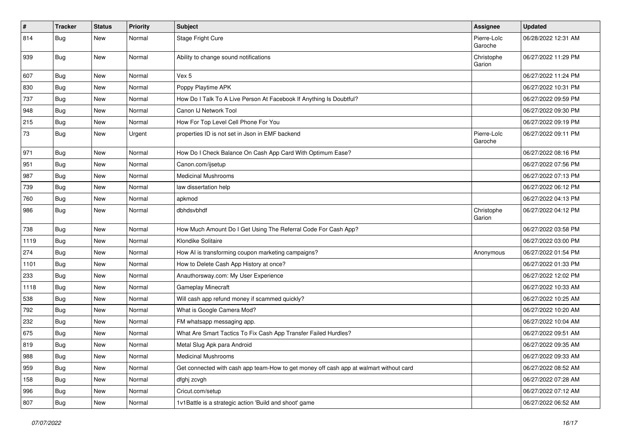| $\vert$ # | <b>Tracker</b> | <b>Status</b> | <b>Priority</b> | <b>Subject</b>                                                                         | <b>Assignee</b>        | <b>Updated</b>      |
|-----------|----------------|---------------|-----------------|----------------------------------------------------------------------------------------|------------------------|---------------------|
| 814       | Bug            | New           | Normal          | Stage Fright Cure                                                                      | Pierre-Loïc<br>Garoche | 06/28/2022 12:31 AM |
| 939       | Bug            | New           | Normal          | Ability to change sound notifications                                                  | Christophe<br>Garion   | 06/27/2022 11:29 PM |
| 607       | Bug            | New           | Normal          | Vex 5                                                                                  |                        | 06/27/2022 11:24 PM |
| 830       | Bug            | New           | Normal          | Poppy Playtime APK                                                                     |                        | 06/27/2022 10:31 PM |
| 737       | Bug            | New           | Normal          | How Do I Talk To A Live Person At Facebook If Anything Is Doubtful?                    |                        | 06/27/2022 09:59 PM |
| 948       | <b>Bug</b>     | New           | Normal          | Canon IJ Network Tool                                                                  |                        | 06/27/2022 09:30 PM |
| 215       | Bug            | New           | Normal          | How For Top Level Cell Phone For You                                                   |                        | 06/27/2022 09:19 PM |
| 73        | Bug            | New           | Urgent          | properties ID is not set in Json in EMF backend                                        | Pierre-Loïc<br>Garoche | 06/27/2022 09:11 PM |
| 971       | <b>Bug</b>     | New           | Normal          | How Do I Check Balance On Cash App Card With Optimum Ease?                             |                        | 06/27/2022 08:16 PM |
| 951       | Bug            | New           | Normal          | Canon.com/ijsetup                                                                      |                        | 06/27/2022 07:56 PM |
| 987       | Bug            | New           | Normal          | <b>Medicinal Mushrooms</b>                                                             |                        | 06/27/2022 07:13 PM |
| 739       | Bug            | New           | Normal          | law dissertation help                                                                  |                        | 06/27/2022 06:12 PM |
| 760       | Bug            | New           | Normal          | apkmod                                                                                 |                        | 06/27/2022 04:13 PM |
| 986       | Bug            | New           | Normal          | dbhdsvbhdf                                                                             | Christophe<br>Garion   | 06/27/2022 04:12 PM |
| 738       | Bug            | New           | Normal          | How Much Amount Do I Get Using The Referral Code For Cash App?                         |                        | 06/27/2022 03:58 PM |
| 1119      | <b>Bug</b>     | New           | Normal          | Klondike Solitaire                                                                     |                        | 06/27/2022 03:00 PM |
| 274       | Bug            | New           | Normal          | How AI is transforming coupon marketing campaigns?                                     | Anonymous              | 06/27/2022 01:54 PM |
| 1101      | <b>Bug</b>     | New           | Normal          | How to Delete Cash App History at once?                                                |                        | 06/27/2022 01:33 PM |
| 233       | Bug            | New           | Normal          | Anauthorsway.com: My User Experience                                                   |                        | 06/27/2022 12:02 PM |
| 1118      | Bug            | New           | Normal          | <b>Gameplay Minecraft</b>                                                              |                        | 06/27/2022 10:33 AM |
| 538       | <b>Bug</b>     | New           | Normal          | Will cash app refund money if scammed quickly?                                         |                        | 06/27/2022 10:25 AM |
| 792       | Bug            | New           | Normal          | What is Google Camera Mod?                                                             |                        | 06/27/2022 10:20 AM |
| 232       | <b>Bug</b>     | New           | Normal          | FM whatsapp messaging app.                                                             |                        | 06/27/2022 10:04 AM |
| 675       | Bug            | New           | Normal          | What Are Smart Tactics To Fix Cash App Transfer Failed Hurdles?                        |                        | 06/27/2022 09:51 AM |
| 819       | <b>Bug</b>     | New           | Normal          | Metal Slug Apk para Android                                                            |                        | 06/27/2022 09:35 AM |
| 988       | <b>Bug</b>     | New           | Normal          | <b>Medicinal Mushrooms</b>                                                             |                        | 06/27/2022 09:33 AM |
| 959       | Bug            | New           | Normal          | Get connected with cash app team-How to get money off cash app at walmart without card |                        | 06/27/2022 08:52 AM |
| 158       | <b>Bug</b>     | New           | Normal          | dfghj zcvgh                                                                            |                        | 06/27/2022 07:28 AM |
| 996       | Bug            | New           | Normal          | Cricut.com/setup                                                                       |                        | 06/27/2022 07:12 AM |
| 807       | <b>Bug</b>     | New           | Normal          | 1v1Battle is a strategic action 'Build and shoot' game                                 |                        | 06/27/2022 06:52 AM |